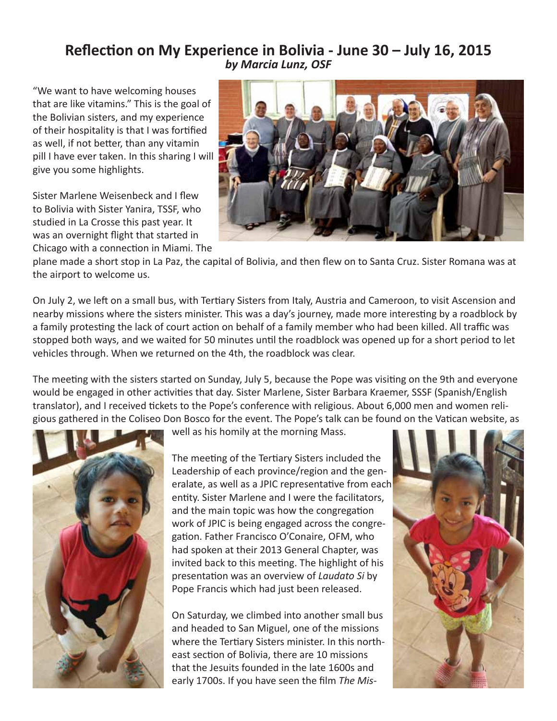## **Reflection on My Experience in Bolivia - June 30 – July 16, 2015** *by Marcia Lunz, OSF*

"We want to have welcoming houses that are like vitamins." This is the goal of the Bolivian sisters, and my experience of their hospitality is that I was fortified as well, if not better, than any vitamin pill I have ever taken. In this sharing I will give you some highlights.

Sister Marlene Weisenbeck and I flew to Bolivia with Sister Yanira, TSSF, who studied in La Crosse this past year. It was an overnight flight that started in Chicago with a connection in Miami. The



plane made a short stop in La Paz, the capital of Bolivia, and then flew on to Santa Cruz. Sister Romana was at the airport to welcome us.

On July 2, we left on a small bus, with Tertiary Sisters from Italy, Austria and Cameroon, to visit Ascension and nearby missions where the sisters minister. This was a day's journey, made more interesting by a roadblock by a family protesting the lack of court action on behalf of a family member who had been killed. All traffic was stopped both ways, and we waited for 50 minutes until the roadblock was opened up for a short period to let vehicles through. When we returned on the 4th, the roadblock was clear.

The meeting with the sisters started on Sunday, July 5, because the Pope was visiting on the 9th and everyone would be engaged in other activities that day. Sister Marlene, Sister Barbara Kraemer, SSSF (Spanish/English translator), and I received tickets to the Pope's conference with religious. About 6,000 men and women religious gathered in the Coliseo Don Bosco for the event. The Pope's talk can be found on the Vatican website, as



well as his homily at the morning Mass.

The meeting of the Tertiary Sisters included the Leadership of each province/region and the generalate, as well as a JPIC representative from each entity. Sister Marlene and I were the facilitators, and the main topic was how the congregation work of JPIC is being engaged across the congregation. Father Francisco O'Conaire, OFM, who had spoken at their 2013 General Chapter, was invited back to this meeting. The highlight of his presentation was an overview of *Laudato Si* by Pope Francis which had just been released.

On Saturday, we climbed into another small bus and headed to San Miguel, one of the missions where the Tertiary Sisters minister. In this northeast section of Bolivia, there are 10 missions that the Jesuits founded in the late 1600s and early 1700s. If you have seen the film *The Mis-*